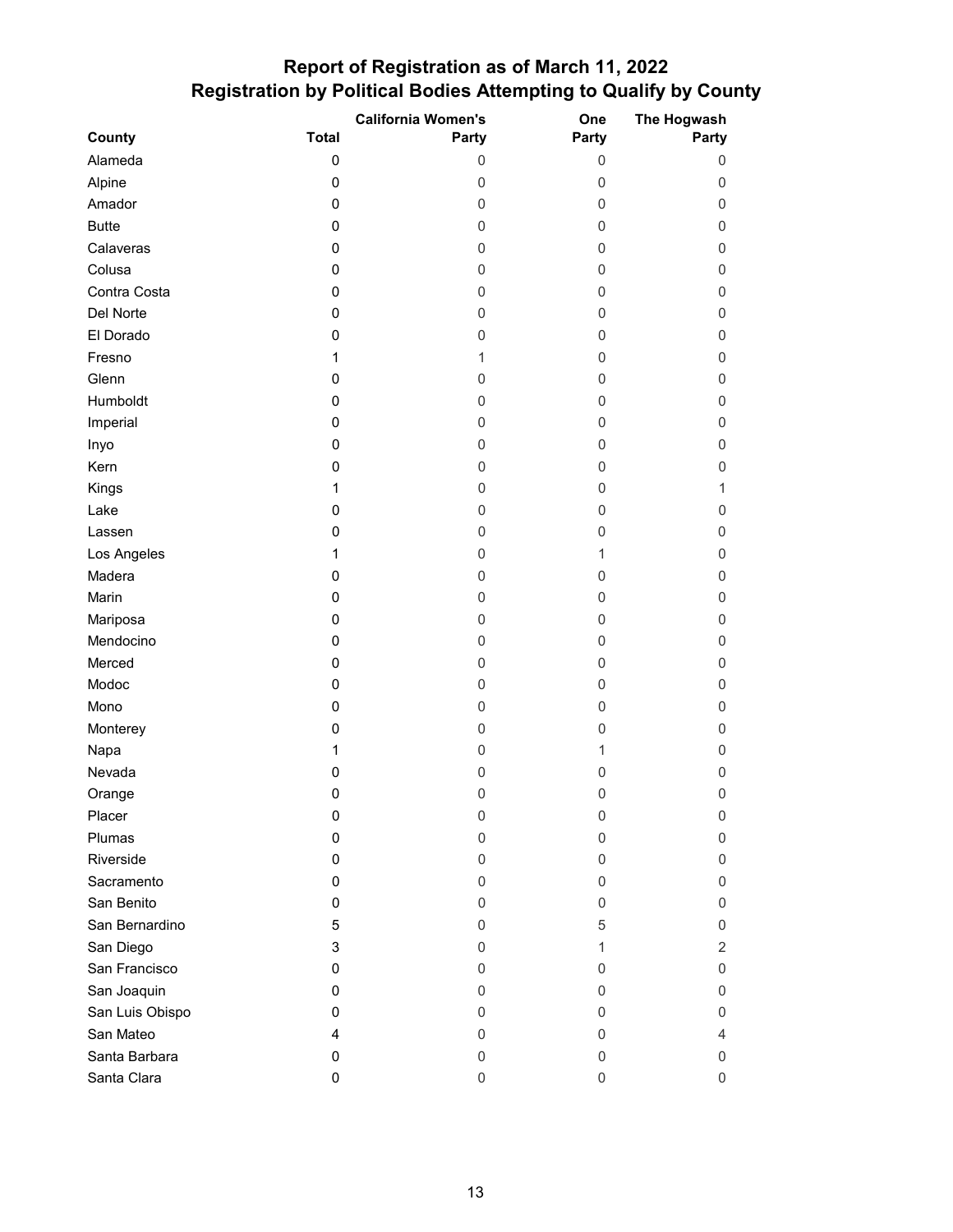## **Report of Registration as of March 11, 2022 Registration by Political Bodies Attempting to Qualify by County**

|                 |              | <b>California Women's</b> | One          | The Hogwash    |
|-----------------|--------------|---------------------------|--------------|----------------|
| County          | <b>Total</b> | Party                     | Party        | Party          |
| Alameda         | $\pmb{0}$    | 0                         | 0            | 0              |
| Alpine          | 0            | 0                         | 0            | 0              |
| Amador          | 0            | 0                         | $\mathbf 0$  | 0              |
| <b>Butte</b>    | 0            | 0                         | 0            | 0              |
| Calaveras       | 0            | 0                         | 0            | 0              |
| Colusa          | 0            | 0                         | $\mathbf 0$  | 0              |
| Contra Costa    | 0            | 0                         | 0            | 0              |
| Del Norte       | 0            | 0                         | 0            | 0              |
| El Dorado       | 0            | 0                         | 0            | 0              |
| Fresno          | 1            | 1                         | 0            | 0              |
| Glenn           | 0            | 0                         | 0            | 0              |
| Humboldt        | 0            | 0                         | 0            | 0              |
| Imperial        | 0            | 0                         | 0            | 0              |
| Inyo            | 0            | 0                         | 0            | 0              |
| Kern            | 0            | 0                         | 0            | 0              |
| Kings           | 1            | 0                         | 0            | 1              |
| Lake            | 0            | 0                         | 0            | 0              |
| Lassen          | 0            | 0                         | 0            | 0              |
| Los Angeles     | 1            | 0                         | $\mathbf{1}$ | 0              |
| Madera          | 0            | 0                         | 0            | 0              |
| Marin           | 0            | 0                         | 0            | 0              |
| Mariposa        | 0            | 0                         | 0            | 0              |
| Mendocino       | 0            | 0                         | 0            | 0              |
| Merced          | 0            | 0                         | 0            | 0              |
| Modoc           | 0            | $\mathbf 0$               | 0            | 0              |
| Mono            | 0            | $\mathbf 0$               | 0            | 0              |
| Monterey        | 0            | 0                         | 0            | 0              |
| Napa            | 1            | 0                         | $\mathbf{1}$ | 0              |
| Nevada          | 0            | 0                         | 0            | 0              |
| Orange          | 0            | 0                         | 0            | 0              |
| Placer          | 0            | 0                         | 0            | 0              |
| Plumas          | 0            | 0                         | 0            | 0              |
| Riverside       | 0            | 0                         | 0            | 0              |
| Sacramento      | 0            | 0                         | 0            | 0              |
| San Benito      | 0            | $\Omega$                  | 0            | 0              |
| San Bernardino  | 5            | 0                         | 5            | 0              |
| San Diego       | 3            | 0                         | 1            | $\overline{2}$ |
| San Francisco   | 0            | 0                         | $\mathbf 0$  | 0              |
| San Joaquin     | 0            | 0                         | 0            | 0              |
| San Luis Obispo | 0            | 0                         | 0            | 0              |
| San Mateo       | 4            | 0                         | 0            | 4              |
| Santa Barbara   | 0            | 0                         | 0            | 0              |
| Santa Clara     | 0            | 0                         | 0            | 0              |